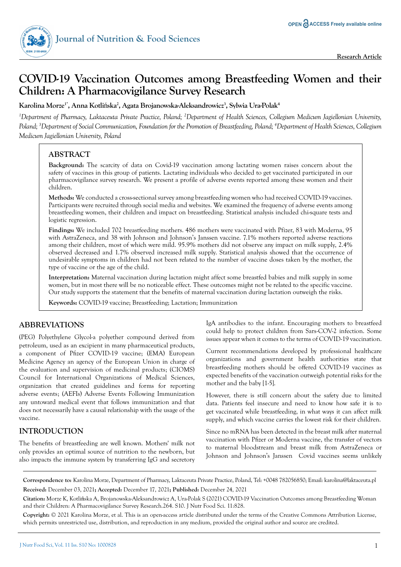

# **COVID-19 Vaccination Outcomes among Breastfeeding Women and their Children: A Pharmacovigilance Survey Research**

**Karolina Morze1\*, Anna Kotli**ń**ska2 , Agata Brojanowska-Aleksandrowicz3 , Sylwia Ura-Polak4**

<sup>1</sup>Department of Pharmacy, Laktaceuta Private Practice, Poland; <sup>2</sup>Department of Health Sciences, Collegium Medicum Jagiellonian University, *Poland; 3 Department of Social Communication, Foundation for the Promotion of Breastfeeding, Poland; 4 Department of Health Sciences, Collegium Medicum Jagiellonian University, Poland*

## **ABSTRACT**

**Background:** The scarcity of data on Covid-19 vaccination among lactating women raises concern about the safety of vaccines in this group of patients. Lactating individuals who decided to get vaccinated participated in our pharmacovigilance survey research. We present a profile of adverse events reported among these women and their children.

**Methods:** We conducted a cross-sectional survey among breastfeeding women who had received COVID-19 vaccines. Participants were recruited through social media and websites. We examined the frequency of adverse events among breastfeeding women, their children and impact on breastfeeding. Statistical analysis included chi-square tests and logistic regression.

**Findings:** We included 702 breastfeeding mothers. 486 mothers were vaccinated with Pfizer, 83 with Moderna, 95 with AstraZeneca, and 38 with Johnson and Johnson's Janssen vaccine. 7.1% mothers reported adverse reactions among their children, most of which were mild. 95.9% mothers did not observe any impact on milk supply, 2.4% observed decreased and 1.7% observed increased milk supply. Statistical analysis showed that the occurrence of undesirable symptoms in children had not been related to the number of vaccine doses taken by the mother, the type of vaccine or the age of the child.

**Interpretation:** Maternal vaccination during lactation might affect some breastfed babies and milk supply in some women, but in most there will be no noticeable effect. These outcomes might not be related to the specific vaccine. Our study supports the statement that the benefits of maternal vaccination during lactation outweigh the risks.

**Keywords:** COVID-19 vaccine; Breastfeeding; Lactation; Immunization

## **ABBREVIATIONS**

(PEG) Polyethylene Glycol-a polyether compound derived from petroleum, used as an excipient in many pharmaceutical products, a component of Pfizer COVID-19 vaccine; (EMA) European Medicine Agency an agency of the European Union in charge of the evaluation and supervision of medicinal products; (CIOMS) Council for International Organizations of Medical Sciences, organization that created guidelines and forms for reporting adverse events; (AEFIs) Adverse Events Following Immunization any untoward medical event that follows immunization and that does not necessarily have a causal relationship with the usage of the vaccine.

## **INTRODUCTION**

The benefits of breastfeeding are well known. Mothers' milk not only provides an optimal source of nutrition to the newborn, but also impacts the immune system by transferring IgG and secretory IgA antibodies to the infant. Encouraging mothers to breastfeed could help to protect children from Sars-COV-2 infection. Some issues appear when it comes to the terms of COVID-19 vaccination.

Current recommendations developed by professional healthcare organizations and government health authorities state that breastfeeding mothers should be offered COVID-19 vaccines as expected benefits of the vaccination outweigh potential risks for the mother and the baby [1-5].

However, there is still concern about the safety due to limited data. Patients feel insecure and need to know how safe it is to get vaccinated while breastfeeding, in what ways it can affect milk supply, and which vaccine carries the lowest risk for their children.

Since no mRNA has been detected in the breast milk after maternal vaccination with Pfizer or Moderna vaccine, the transfer of vectors to maternal bloodstream and breast milk from AstraZeneca or Johnson and Johnson's Janssen Covid vaccines seems unlikely

**Correspondence to:** Karolina Morze, Department of Pharmacy, Laktaceuta Private Practice, Poland, Tel: +0048 782056850; Email: karolina@laktaceuta.pl **Received:** December 03, 2021**; Accepted:** December 17, 2021**; Published:** December 24, 2021

**Citation:** Morze K, Kotlińska A, Brojanowska-Aleksandrowicz A, Ura-Polak S (2021) COVID-19 Vaccination Outcomes among Breastfeeding Woman and their Children: A Pharmacovigilance Survey Research.264. S10. J Nutr Food Sci. 11:828.

**Copyright:** © 2021 Karolina Morze, et al. This is an open-access article distributed under the terms of the Creative Commons Attribution License, which permits unrestricted use, distribution, and reproduction in any medium, provided the original author and source are credited.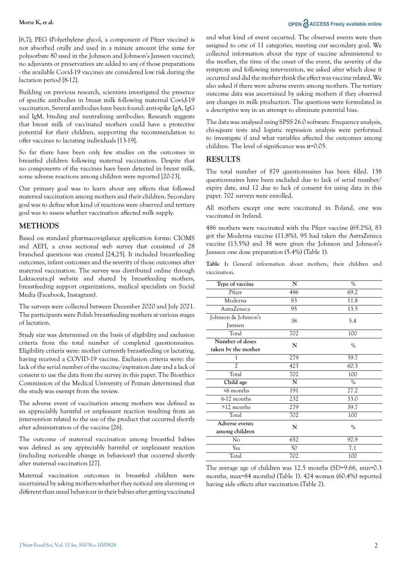[6,7]; PEG (Polyethylene glycol, a component of Pfizer vaccine) is not absorbed orally and used in a minute amount (the same for polysorbate 80 used in the Johnson and Johnson's Janssen vaccine); no adjuvants or preservatives are added to any of those preparations - the available Covid-19 vaccines are considered low risk during the lactation period [8-12].

Building on previous research, scientists investigated the presence of specific antibodies in breast milk following maternal Covid-19 vaccination. Several antibodies have been found: anti-spike IgA, IgG and IgM, binding and neutralizing antibodies. Research suggests that breast milk of vaccinated mothers could have a protective potential for their children, supporting the recommendation to offer vaccines to lactating individuals [13-19].

So far there have been only few studies on the outcomes in breastfed children following maternal vaccination. Despite that no components of the vaccines have been detected in breast milk, some adverse reactions among children were reported [20-23].

Our primary goal was to learn about any effects that followed maternal vaccination among mothers and their children. Secondary goal was to define what kind of reactions were observed and tertiary goal was to assess whether vaccination affected milk supply.

### **METHODS**

Based on standard pharmacovigilance application forms: CIOMS and AEFI, a cross sectional web survey that consisted of 28 branched questions was created [24,25]. It included breastfeeding outcomes, infant outcomes and the severity of those outcomes after maternal vaccination. The survey was distributed online through Laktaceuta.pl website and shared by breastfeeding mothers, breastfeeding support organizations, medical specialists on Social Media (Facebook, Instagram).

The surveys were collected between December 2020 and July 2021. The participants were Polish breastfeeding mothers at various stages of lactation.

Study size was determined on the basis of eligibility and exclusion criteria from the total number of completed questionnaires. Eligibility criteria were: mother currently breastfeeding or lactating, having received a COVID-19 vaccine. Exclusion criteria were: the lack of the serial number of the vaccine/expiration date and a lack of consent to use the data from the survey in this paper. The Bioethics Commission of the Medical University of Poznan determined that the study was exempt from the review.

The adverse event of vaccination among mothers was defined as an appreciably harmful or unpleasant reaction resulting from an intervention related to the use of the product that occurred shortly after administration of the vaccine [26].

The outcome of maternal vaccination among breastfed babies was defined as any appreciably harmful or unpleasant reaction (including noticeable change in behaviour) that occurred shortly after maternal vaccination [27].

Maternal vaccination outcomes in breastfed children were ascertained by asking mothers whether they noticed any alarming or different than usual behaviour in their babies after getting vaccinated

#### **Morze K, et al. OPEN** and **ACCESS** Freely available online

and what kind of event occurred. The observed events were then assigned to one of 11 categories, meeting our secondary goal. We collected information about the type of vaccine administered to the mother, the time of the onset of the event, the severity of the symptom and following intervention, we asked after which dose it occurred and did the mother think the effect was vaccine related. We also asked if there were adverse events among mothers. The tertiary outcome data was ascertained by asking mothers if they observed any changes in milk production. The questions were formulated in a descriptive way in an attempt to eliminate potential bias.

The data was analysed using SPSS 26.0 software. Frequency analysis, chi-square tests and logistic regression analysis were performed to investigate if and what variables affected the outcomes among children. The level of significance was  $\alpha$ =0.05.

### **RESULTS**

The total number of 879 questionnaires has been filled. 138 questionnaires have been excluded due to lack of serial number/ expiry date, and 12 due to lack of consent for using data in this paper. 702 surveys were enrolled.

All mothers except one were vaccinated in Poland, one was vaccinated in Ireland.

486 mothers were vaccinated with the Pfizer vaccine (69.2%), 83 got the Moderna vaccine (11.8%), 95 had taken the AstraZeneca vaccine (13.5%) and 38 were given the Johnson and Johnson's Janssen one dose preparation (5.4%) (Table 1).

Table 1: General information about mothers, their children and vaccination.

| Type of vaccine     | N   | $\%$ |
|---------------------|-----|------|
| Pfizer              | 486 | 69.2 |
| Moderna             | 83  | 11.8 |
| AstraZeneca         | 95  | 13.5 |
| Johnson & Johnson's | 38  | 5.4  |
| Janssen             |     |      |
| Total               | 702 | 100  |
| Number of doses     | N   | $\%$ |
| taken by the mother |     |      |
| 1                   | 279 | 39.7 |
| $\mathfrak{D}$      | 423 | 60.3 |
| Total               | 702 | 100  |
| Child age           | N   | $\%$ |
| $\leq 6$ months     | 191 | 27.2 |
| 6-12 months         | 232 | 33.0 |
| $>12$ months        | 279 | 39.7 |
| Total               | 702 | 100  |
| Adverse events      | N   | $\%$ |
| among children      |     |      |
| No                  | 652 | 92.9 |
| Yes                 | 50  | 7.1  |
| Total               | 702 | 100  |

The average age of children was 12.5 months (SD=9.66, min=0.3 months, max=84 months) (Table 1). 424 women (60.4%) reported having side effects after vaccination (Table 2).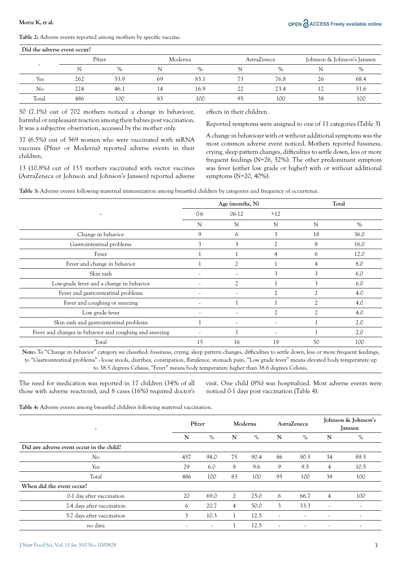Table 2: Adverse events reported among mothers by specific vaccine.

| Did the adverse event occur? |     |      |         |      |    |             |                             |      |
|------------------------------|-----|------|---------|------|----|-------------|-----------------------------|------|
| Pfizer                       |     |      | Moderna |      |    | AstraZeneca | Johnson & Johnson's Janssen |      |
|                              | N   | $\%$ |         | $\%$ |    | $\%$        |                             | $\%$ |
| Yes                          | 262 | 53.9 | 69      | 83.1 | 73 | 76.8        | 26                          | 68.4 |
| No                           | 224 | 46.1 | 14      | 16.9 | 22 | 23.4        |                             | 31.6 |
| Total                        | 486 | 100  | 83      | 100  | 95 | 100         | 38                          | 100  |

50 (7.1%) out of 702 mothers noticed a change in behaviour, harmful or unpleasant reaction among their babies post vaccination. It was a subjective observation, accessed by the mother only.

37 (6.5%) out of 569 women who were vaccinated with mRNA vaccines (Pfizer or Moderna) reported adverse events in their children.

13 (10.8%) out of 133 mothers vaccinated with vector vaccines (AstraZeneca or Johnson and Johnson's Janssen) reported adverse effects in their children.

Reported symptoms were assigned to one of 11 categories (Table 3).

A change in behaviour with or without additional symptoms was the most common adverse event noticed. Mothers reported fussiness, crying, sleep pattern changes, difficulties to settle down, less or more frequent feedings (N=26, 52%). The other predominant symptom was fever (either low grade or higher) with or without additional symptoms (N=20, 40%).

Table 3: Adverse events following maternal immunization among breastfed children by categories and frequency of occurrence.

|                                                         |                          | Age (months, N)           | Total                    |                |      |
|---------------------------------------------------------|--------------------------|---------------------------|--------------------------|----------------|------|
| ٠                                                       | $0-6$<br>$06-12$<br>>12  |                           |                          |                |      |
|                                                         | N                        | N                         | N                        | N              | $\%$ |
| Change in behavior                                      | 9                        | 6                         | 3                        | 18             | 36.0 |
| Gastrointestinal problems                               | 3                        | 3                         |                          | 8              | 16.0 |
| Fever                                                   |                          |                           | $\overline{4}$           | 6              | 12.0 |
| Fever and change in behavior                            |                          | $\overline{2}$            |                          |                | 8.0  |
| Skin rash                                               | $\overline{\phantom{a}}$ | $\overline{\phantom{a}}$  | 3                        | 3              | 6.0  |
| Low-grade fever and a change in behavior                | ٠                        | $\overline{\mathfrak{Z}}$ |                          | 3              | 6.0  |
| Fever and gastrointestinal problems                     | $\overline{\phantom{a}}$ | $\overline{\phantom{a}}$  | $\overline{2}$           | $\gamma$       | 4.0  |
| Fever and coughing or sneezing                          | $\overline{\phantom{a}}$ |                           |                          | $\overline{c}$ | 4.0  |
| Low grade fever                                         | $\overline{\phantom{a}}$ | $\overline{\phantom{a}}$  | $\mathfrak{D}$           | $\gamma$       | 4.0  |
| Skin rash and gastrointestinal problems                 |                          | ٠                         | $\overline{\phantom{a}}$ |                | 2.0  |
| Fever and changes in behavior and coughing and sneezing | $\overline{\phantom{a}}$ |                           | ٠                        |                | 2.0  |
| Total                                                   | 15                       | 16                        | 19                       | 50             | 100  |

Note: To "Change in behavior" category we classified: fussiness, crying, sleep pattern changes, difficulties to settle down, less or more frequent feedings; to "Gastrointestinal problems" - loose stools, diarrhea, constipation, flatulence, stomach pain, "Low grade fever" means elevated body temperature up to 38.5 degrees Celsius; "Fever" means body temperature higher than 38.6 degrees Celsius.

The need for medication was reported in 17 children (34% of all those with adverse reactions), and 8 cases (16%) required doctor's visit. One child (8%) was hospitalized. Most adverse events were noticed 0-1 days post vaccination (Table 4).

Table 4: Adverse events among breastfed children following maternal vaccination.

| ٠                                         |                          | Pfizer |                | Moderna |                          | <b>AstraZeneca</b>       |                          | Johnson & Johnson's<br><b>Janssen</b> |  |
|-------------------------------------------|--------------------------|--------|----------------|---------|--------------------------|--------------------------|--------------------------|---------------------------------------|--|
|                                           | N                        | $\%$   | N              | $\%$    | N                        | $\%$                     | N                        | $\%$                                  |  |
| Did any adverse event occur in the child? |                          |        |                |         |                          |                          |                          |                                       |  |
| N <sub>o</sub>                            | 457                      | 94.0   | 75             | 90.4    | 86                       | 90.5                     | 34                       | 89.5                                  |  |
| Yes                                       | 29                       | 6.0    | 8              | 9.6     | 9                        | 9.5                      | 4                        | 10.5                                  |  |
| Total                                     | 486                      | 100    | 83             | 100     | 95                       | 100                      | 38                       | 100                                   |  |
| When did the event occur?                 |                          |        |                |         |                          |                          |                          |                                       |  |
| 0-1 day after vaccination                 | 20                       | 69.0   | 2              | 25.0    | 6                        | 66.7                     | 4                        | 100                                   |  |
| 2-4 days after vaccination                | 6                        | 20.7   | $\overline{4}$ | 50.0    | 3                        | 33.3                     | $\overline{\phantom{a}}$ | $\overline{\phantom{a}}$              |  |
| 5-7 days after vaccination                | 3                        | 10.3   |                | 12.5    | $\overline{\phantom{a}}$ | $\overline{\phantom{a}}$ | $\overline{\phantom{a}}$ | ٠                                     |  |
| no data                                   | $\overline{\phantom{a}}$ | ٠      |                | 12.5    | ٠                        | $\overline{\phantom{a}}$ | ٠                        | $\overline{\phantom{a}}$              |  |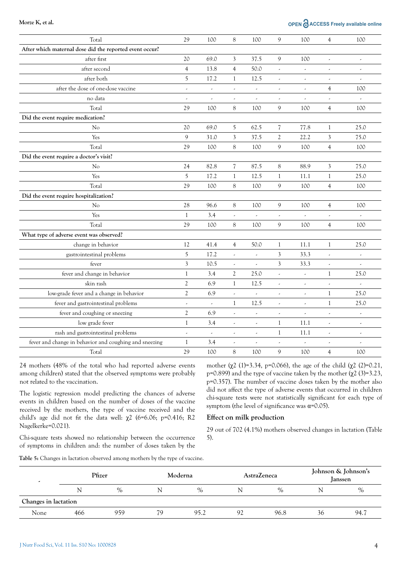### **Morze K, et al. OPEN**  $\partial$  **ACCESS** Freely available online

| Total                                                   | 29                       | 100                      | 8                        | 100                      | 9                        | 100                      | $\overline{4}$           | 100                      |
|---------------------------------------------------------|--------------------------|--------------------------|--------------------------|--------------------------|--------------------------|--------------------------|--------------------------|--------------------------|
| After which maternal dose did the reported event occur? |                          |                          |                          |                          |                          |                          |                          |                          |
| after first                                             | 20                       | 69.0                     | 3                        | 37.5                     | 9                        | 100                      | $\overline{\phantom{a}}$ | $\overline{\phantom{a}}$ |
| after second                                            | $\overline{4}$           | 13.8                     | $\overline{4}$           | 50.0                     |                          | $\overline{\phantom{a}}$ | $\overline{\phantom{a}}$ | $\overline{\phantom{a}}$ |
| after both                                              | 5                        | 17.2                     | $\mathbf{1}$             | 12.5                     | $\overline{\phantom{a}}$ | $\overline{\phantom{a}}$ | $\overline{\phantom{a}}$ | $\overline{\phantom{a}}$ |
| after the dose of one-dose vaccine                      | $\overline{\phantom{a}}$ | $\overline{\phantom{a}}$ | $\overline{\phantom{a}}$ | $\overline{\phantom{a}}$ | $\overline{\phantom{a}}$ | $\overline{\phantom{a}}$ | $\overline{4}$           | 100                      |
| no data                                                 | $\overline{\phantom{a}}$ | $\overline{\phantom{a}}$ | $\overline{\phantom{a}}$ | $\overline{\phantom{a}}$ | $\overline{\phantom{a}}$ | $\overline{\phantom{a}}$ | $\overline{\phantom{a}}$ | $\overline{\phantom{a}}$ |
| Total                                                   | 29                       | 100                      | 8                        | 100                      | 9                        | 100                      | $\overline{4}$           | 100                      |
| Did the event require medication?                       |                          |                          |                          |                          |                          |                          |                          |                          |
| No                                                      | 20                       | 69.0                     | 5                        | 62.5                     | 7                        | 77.8                     | $\mathbf{1}$             | 25.0                     |
| Yes                                                     | 9                        | 31.0                     | 3                        | 37.5                     | $\overline{2}$           | 22.2                     | 3                        | 75.0                     |
| Total                                                   | 29                       | 100                      | 8                        | 100                      | 9                        | 100                      | $\overline{4}$           | 100                      |
| Did the event require a doctor's visit?                 |                          |                          |                          |                          |                          |                          |                          |                          |
| No                                                      | 24                       | 82.8                     | $\overline{\mathcal{U}}$ | 87.5                     | 8                        | 88.9                     | 3                        | 75.0                     |
| Yes                                                     | 5                        | 17.2                     | $\mathbf{1}$             | 12.5                     | $\mathbf{1}$             | 11.1                     | $\mathbf{1}$             | 25.0                     |
| Total                                                   | 29                       | 100                      | 8                        | 100                      | 9                        | 100                      | $\overline{4}$           | 100                      |
| Did the event require hospitalization?                  |                          |                          |                          |                          |                          |                          |                          |                          |
| No                                                      | 28                       | 96.6                     | 8                        | 100                      | 9                        | 100                      | $\overline{4}$           | 100                      |
| Yes                                                     | $\mathbf{1}$             | 3.4                      | $\overline{\phantom{a}}$ | $\overline{\phantom{a}}$ | $\overline{\phantom{a}}$ | $\overline{\phantom{a}}$ | $\overline{\phantom{a}}$ | $\overline{\phantom{a}}$ |
| Total                                                   | 29                       | 100                      | $8\,$                    | 100                      | $\mathfrak{g}$           | 100                      | $\overline{4}$           | 100                      |
| What type of adverse event was observed?                |                          |                          |                          |                          |                          |                          |                          |                          |
| change in behavior                                      | 12                       | 41.4                     | $\overline{4}$           | 50.0                     | $\mathbf{1}$             | 11.1                     | $\mathbf{1}$             | 25.0                     |
| gastrointestinal problems                               | 5                        | 17.2                     | ä,                       | $\overline{a}$           | 3                        | 33.3                     | $\overline{\phantom{a}}$ | $\overline{\phantom{a}}$ |
| fever                                                   | $\overline{\mathbf{3}}$  | 10.5                     | $\overline{\phantom{a}}$ | $\overline{\phantom{a}}$ | $\overline{\mathbf{3}}$  | 33.3                     | $\overline{\phantom{a}}$ | $\overline{\phantom{a}}$ |
| fever and change in behavior                            | 1                        | 3.4                      | $\mathfrak{2}$           | 25.0                     | $\overline{\phantom{a}}$ | $\overline{\phantom{a}}$ | $\mathbf{1}$             | 25.0                     |
| skin rash                                               | $\mathfrak{2}$           | 6.9                      | $\mathbf{1}$             | 12.5                     | $\overline{\phantom{a}}$ | $\overline{\phantom{a}}$ | $\overline{\phantom{a}}$ | $\overline{\phantom{a}}$ |
| low-grade fever and a change in behavior                | $\overline{2}$           | 6.9                      | $\overline{\phantom{a}}$ | $\overline{\phantom{a}}$ |                          | $\overline{\phantom{a}}$ | $\mathbf{1}$             | 25.0                     |
| fever and gastrointestinal problems                     | $\overline{\phantom{a}}$ | $\overline{\phantom{a}}$ | $\mathbf{1}$             | 12.5                     | $\overline{\phantom{a}}$ | $\overline{\phantom{a}}$ | $\mathbf{1}$             | 25.0                     |
| fever and coughing or sneezing                          | $\overline{2}$           | 6.9                      | $\overline{\phantom{a}}$ | $\overline{\phantom{a}}$ | $\overline{\phantom{a}}$ | $\overline{\phantom{a}}$ | $\overline{\phantom{a}}$ | $\overline{\phantom{a}}$ |
| low grade fever                                         | $\mathbf{1}$             | 3.4                      | $\overline{\phantom{a}}$ | $\overline{\phantom{a}}$ | $\mathbf{1}$             | 11.1                     | $\overline{\phantom{a}}$ | $\overline{\phantom{a}}$ |
| rash and gastrointestinal problems                      | $\overline{\phantom{a}}$ | $\overline{\phantom{a}}$ | $\overline{\phantom{a}}$ | $\overline{\phantom{a}}$ | $\mathbf{1}$             | 11.1                     | $\overline{\phantom{a}}$ | $\overline{\phantom{a}}$ |
| fever and change in behavior and coughing and sneezing  | 1                        | 3.4                      | $\overline{\phantom{a}}$ | $\overline{\phantom{a}}$ | $\overline{\phantom{a}}$ | $\overline{\phantom{a}}$ | $\overline{\phantom{a}}$ | $\overline{\phantom{a}}$ |
| Total                                                   | 29                       | 100                      | $\,8\,$                  | 100                      | 9                        | 100                      | 4                        | 100                      |

24 mothers (48% of the total who had reported adverse events among children) stated that the observed symptoms were probably not related to the vaccination.

The logistic regression model predicting the chances of adverse events in children based on the number of doses of the vaccine received by the mothers, the type of vaccine received and the child's age did not fit the data well:  $\chi$ 2 (6=6.06; p=0.416; R2 Nagelkerke=0.021).

Chi-square tests showed no relationship between the occurrence of symptoms in children and: the number of doses taken by the

mother  $(\chi^2$  (1)=3.34, p=0.066), the age of the child  $(\chi^2$  (2)=0.21, p=0.899) and the type of vaccine taken by the mother  $(\chi^2)(3)=3.23$ , p=0.357). The number of vaccine doses taken by the mother also did not affect the type of adverse events that occurred in children chi-square tests were not statistically significant for each type of symptom (the level of significance was  $\alpha$ =0.05).

#### Effect on milk production

29 out of 702 (4.1%) mothers observed changes in lactation (Table 5).

Table 5: Changes in lactation observed among mothers by the type of vaccine.

|                      | Pfizer |      | Moderna |      |    | <b>AstraZeneca</b> | Johnson & Johnson's<br>Janssen |      |
|----------------------|--------|------|---------|------|----|--------------------|--------------------------------|------|
|                      | N      | $\%$ | N       | $\%$ |    | $\%$               |                                | $\%$ |
| Changes in lactation |        |      |         |      |    |                    |                                |      |
| None                 | 466    | 959  | 79      | 95.2 | 92 | 96.8               | 36                             | 94.7 |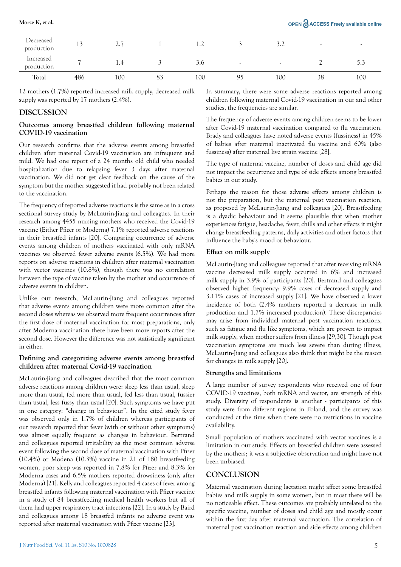| Decreased<br>production | ∸   | $\sim$ $\sim$<br>۰۰ | 1.4 |                          | ے و | $\overline{\phantom{a}}$ |     |
|-------------------------|-----|---------------------|-----|--------------------------|-----|--------------------------|-----|
| Increased<br>production | -   | 1.4                 | 3.0 | $\overline{\phantom{a}}$ | ٠   |                          | `   |
| Total                   | 486 | 100                 | 100 | 95                       | 100 | 38                       | 100 |

12 mothers (1.7%) reported increased milk supply, decreased milk supply was reported by 17 mothers (2.4%).

#### **DISCUSSION**

#### Outcomes among breastfed children following maternal COVID-19 vaccination

Our research confirms that the adverse events among breastfed children after maternal Covid-19 vaccination are infrequent and mild. We had one report of a 24 months old child who needed hospitalization due to relapsing fever 3 days after maternal vaccination. We did not get clear feedback on the cause of the symptom but the mother suggested it had probably not been related to the vaccination.

The frequency of reported adverse reactions is the same as in a cross sectional survey study by McLaurin-Jiang and colleagues. In their research among 4455 nursing mothers who received the Covid-19 vaccine (Either Pfizer or Moderna) 7.1% reported adverse reactions in their breastfed infants [20]. Comparing occurrence of adverse events among children of mothers vaccinated with only mRNA vaccines we observed fewer adverse events (6.5%). We had more reports on adverse reactions in children after maternal vaccination with vector vaccines (10.8%), though there was no correlation between the type of vaccine taken by the mother and occurrence of adverse events in children.

Unlike our research, McLaurin-Jiang and colleagues reported that adverse events among children were more common after the second doses whereas we observed more frequent occurrences after the first dose of maternal vaccination for most preparations, only after Moderna vaccination there have been more reports after the second dose. However the difference was not statistically significant in either.

#### Defining and categorizing adverse events among breastfed children after maternal Covid-19 vaccination

McLaurin-Jiang and colleagues described that the most common adverse reactions among children were: sleep less than usual, sleep more than usual, fed more than usual, fed less than usual, fussier than usual, less fussy than usual [20]. Such symptoms we have put in one category: "change in behaviour". In the cited study fever was observed only in 1.7% of children whereas participants of our research reported that fever (with or without other symptoms) was almost equally frequent as changes in behaviour. Bertrand and colleagues reported irritability as the most common adverse event following the second dose of maternal vaccination with Pfizer (10.4%) or Modena (10.3%) vaccine in 21 of 180 breastfeeding women, poor sleep was reported in 7.8% for Pfizer and 8.3% for Moderna cases and 6.5% mothers reported drowsiness (only after Moderna) [21]. Kelly and colleagues reported 4 cases of fever among breastfed infants following maternal vaccination with Pfizer vaccine in a study of 84 breastfeeding medical health workers but all of them had upper respiratory tract infections [22]. In a study by Baird and colleagues among 18 breastfed infants no adverse event was reported after maternal vaccination with Pfizer vaccine [23].

The frequency of adverse events among children seems to be lower after Covid-19 maternal vaccination compared to flu vaccination. Brady and colleagues have noted adverse events (fussiness) in 45% of babies after maternal inactivated flu vaccine and 60% (also fussiness) after maternal live strain vaccine [28].

The type of maternal vaccine, number of doses and child age did not impact the occurrence and type of side effects among breastfed babies in our study.

Perhaps the reason for those adverse effects among children is not the preparation, but the maternal post vaccination reaction, as proposed by McLaurin-Jiang and colleagues [20]. Breastfeeding is a dyadic behaviour and it seems plausible that when mother experiences fatigue, headache, fever, chills and other effects it might change breastfeeding patterns, daily activities and other factors that influence the baby's mood or behaviour.

#### Effect on milk supply

McLaurin-Jiang and colleagues reported that after receiving mRNA vaccine decreased milk supply occurred in 6% and increased milk supply in 3.9% of participants [20]. Bertrand and colleagues observed higher frequency: 9.9% cases of decreased supply and 3.11% cases of increased supply [21]. We have observed a lower incidence of both (2.4% mothers reported a decrease in milk production and 1.7% increased production). These discrepancies may arise from individual maternal post vaccination reactions, such as fatigue and flu like symptoms, which are proven to impact milk supply, when mother suffers from illness [29,30]. Though post vaccination symptoms are much less severe than during illness, McLaurin-Jiang and colleagues also think that might be the reason for changes in milk supply [20].

#### Strengths and limitations

A large number of survey respondents who received one of four COVID-19 vaccines, both mRNA and vector, are strength of this study. Diversity of respondents is another - participants of this study were from different regions in Poland, and the survey was conducted at the time when there were no restrictions in vaccine availability.

Small population of mothers vaccinated with vector vaccines is a limitation in our study. Effects on breastfed children were assessed by the mothers; it was a subjective observation and might have not been unbiased.

#### **CONCLUSION**

Maternal vaccination during lactation might affect some breastfed babies and milk supply in some women, but in most there will be no noticeable effect. These outcomes are probably unrelated to the specific vaccine, number of doses and child age and mostly occur within the first day after maternal vaccination. The correlation of maternal post vaccination reaction and side effects among children